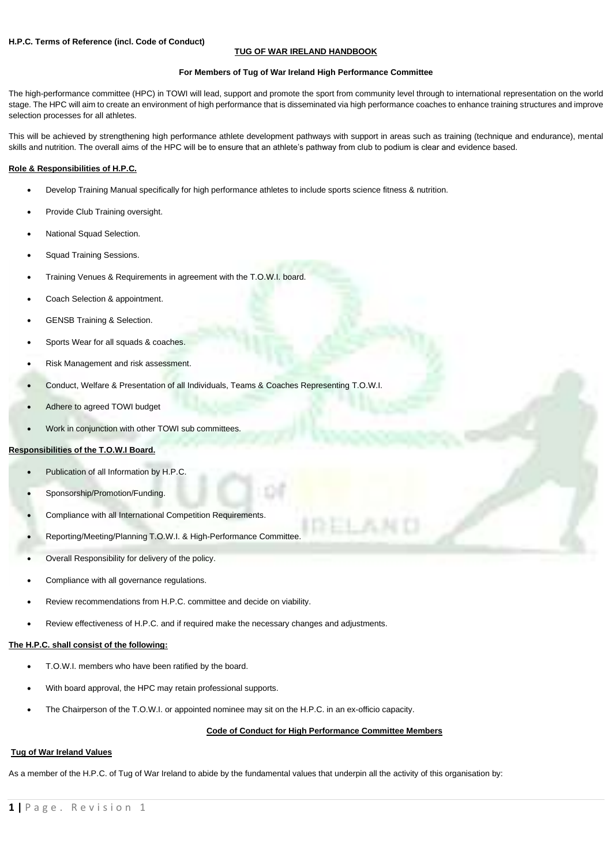# **TUG OF WAR IRELAND HANDBOOK**

### **For Members of Tug of War Ireland High Performance Committee**

The high-performance committee (HPC) in TOWI will lead, support and promote the sport from community level through to international representation on the world stage. The HPC will aim to create an environment of high performance that is disseminated via high performance coaches to enhance training structures and improve selection processes for all athletes.

This will be achieved by strengthening high performance athlete development pathways with support in areas such as training (technique and endurance), mental skills and nutrition. The overall aims of the HPC will be to ensure that an athlete's pathway from club to podium is clear and evidence based.

### **Role & Responsibilities of H.P.C.**

- Develop Training Manual specifically for high performance athletes to include sports science fitness & nutrition.
- Provide Club Training oversight.
- National Squad Selection.
- Squad Training Sessions.
- Training Venues & Requirements in agreement with the T.O.W.I. board.
- Coach Selection & appointment.
- GENSB Training & Selection.
- Sports Wear for all squads & coaches.
- Risk Management and risk assessment.
- Conduct, Welfare & Presentation of all Individuals, Teams & Coaches Representing T.O.W.I.
- Adhere to agreed TOWI budget
- Work in conjunction with other TOWI sub committees.

## **Responsibilities of the T.O.W.I Board.**

- Publication of all Information by H.P.C.
- Sponsorship/Promotion/Funding.
- Compliance with all International Competition Requirements.
- Reporting/Meeting/Planning T.O.W.I. & High-Performance Committee.
- Overall Responsibility for delivery of the policy.
- Compliance with all governance regulations.
- Review recommendations from H.P.C. committee and decide on viability.
- Review effectiveness of H.P.C. and if required make the necessary changes and adjustments.

### **The H.P.C. shall consist of the following:**

- T.O.W.I. members who have been ratified by the board.
- With board approval, the HPC may retain professional supports.
- The Chairperson of the T.O.W.I. or appointed nominee may sit on the H.P.C. in an ex-officio capacity.

## **Code of Conduct for High Performance Committee Members**

#### **Tug of War Ireland Values**

As a member of the H.P.C. of Tug of War Ireland to abide by the fundamental values that underpin all the activity of this organisation by: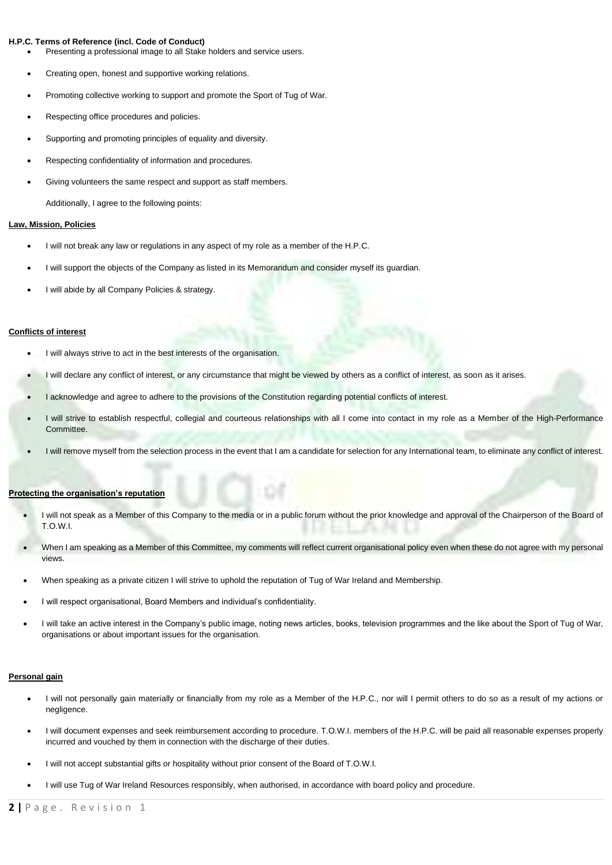### **H.P.C. Terms of Reference (incl. Code of Conduct)**

- Presenting a professional image to all Stake holders and service users.
- Creating open, honest and supportive working relations.
- Promoting collective working to support and promote the Sport of Tug of War.
- Respecting office procedures and policies.
- Supporting and promoting principles of equality and diversity.
- Respecting confidentiality of information and procedures.
- Giving volunteers the same respect and support as staff members.

Additionally, I agree to the following points:

### **Law, Mission, Policies**

- I will not break any law or regulations in any aspect of my role as a member of the H.P.C.
- I will support the objects of the Company as listed in its Memorandum and consider myself its quardian.
- I will abide by all Company Policies & strategy.

## **Conflicts of interest**

- I will always strive to act in the best interests of the organisation.
- I will declare any conflict of interest, or any circumstance that might be viewed by others as a conflict of interest, as soon as it arises.
- I acknowledge and agree to adhere to the provisions of the Constitution regarding potential conflicts of interest.
- I will strive to establish respectful, collegial and courteous relationships with all I come into contact in my role as a Member of the High-Performance Committee.
- I will remove myself from the selection process in the event that I am a candidate for selection for any International team, to eliminate any conflict of interest.

### **Protecting the organisation's reputation**

- I will not speak as a Member of this Company to the media or in a public forum without the prior knowledge and approval of the Chairperson of the Board of T.O.W.I.
- When I am speaking as a Member of this Committee, my comments will reflect current organisational policy even when these do not agree with my personal views.
- When speaking as a private citizen I will strive to uphold the reputation of Tug of War Ireland and Membership.
- I will respect organisational, Board Members and individual's confidentiality.
- I will take an active interest in the Company's public image, noting news articles, books, television programmes and the like about the Sport of Tug of War, organisations or about important issues for the organisation.

#### **Personal gain**

- I will not personally gain materially or financially from my role as a Member of the H.P.C., nor will I permit others to do so as a result of my actions or negligence.
- I will document expenses and seek reimbursement according to procedure. T.O.W.I. members of the H.P.C. will be paid all reasonable expenses properly incurred and vouched by them in connection with the discharge of their duties.
- I will not accept substantial gifts or hospitality without prior consent of the Board of T.O.W.I.
- I will use Tug of War Ireland Resources responsibly, when authorised, in accordance with board policy and procedure.